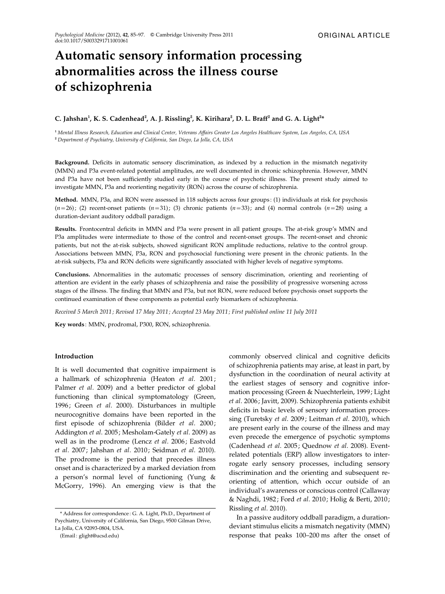# Automatic sensory information processing abnormalities across the illness course of schizophrenia

# C. Jahshan<sup>1</sup>, K. S. Cadenhead<sup>2</sup>, A. J. Rissling<sup>2</sup>, K. Kirihara<sup>2</sup>, D. L. Braff<sup>2</sup> and G. A. Light<sup>2\*</sup>

<sup>1</sup> Mental Illness Research, Education and Clinical Center, Veterans Affairs Greater Los Angeles Healthcare System, Los Angeles, CA, USA <sup>2</sup> Department of Psychiatry, University of California, San Diego, La Jolla, CA, USA

Background. Deficits in automatic sensory discrimination, as indexed by a reduction in the mismatch negativity (MMN) and P3a event-related potential amplitudes, are well documented in chronic schizophrenia. However, MMN and P3a have not been sufficiently studied early in the course of psychotic illness. The present study aimed to investigate MMN, P3a and reorienting negativity (RON) across the course of schizophrenia.

Method. MMN, P3a, and RON were assessed in 118 subjects across four groups : (1) individuals at risk for psychosis  $(n=26)$ ; (2) recent-onset patients  $(n=31)$ ; (3) chronic patients  $(n=33)$ ; and (4) normal controls  $(n=28)$  using a duration-deviant auditory oddball paradigm.

Results. Frontocentral deficits in MMN and P3a were present in all patient groups. The at-risk group's MMN and P3a amplitudes were intermediate to those of the control and recent-onset groups. The recent-onset and chronic patients, but not the at-risk subjects, showed significant RON amplitude reductions, relative to the control group. Associations between MMN, P3a, RON and psychosocial functioning were present in the chronic patients. In the at-risk subjects, P3a and RON deficits were significantly associated with higher levels of negative symptoms.

Conclusions. Abnormalities in the automatic processes of sensory discrimination, orienting and reorienting of attention are evident in the early phases of schizophrenia and raise the possibility of progressive worsening across stages of the illness. The finding that MMN and P3a, but not RON, were reduced before psychosis onset supports the continued examination of these components as potential early biomarkers of schizophrenia.

Received 5 March 2011 ; Revised 17 May 2011; Accepted 23 May 2011 ; First published online 11 July 2011

Key words : MMN, prodromal, P300, RON, schizophrenia.

#### Introduction

It is well documented that cognitive impairment is a hallmark of schizophrenia (Heaton et al. 2001; Palmer et al. 2009) and a better predictor of global functioning than clinical symptomatology (Green, 1996; Green et al. 2000). Disturbances in multiple neurocognitive domains have been reported in the first episode of schizophrenia (Bilder et al. 2000; Addington et al. 2005; Mesholam-Gately et al. 2009) as well as in the prodrome (Lencz et al. 2006; Eastvold et al. 2007; Jahshan et al. 2010; Seidman et al. 2010). The prodrome is the period that precedes illness onset and is characterized by a marked deviation from a person's normal level of functioning (Yung & McGorry, 1996). An emerging view is that the commonly observed clinical and cognitive deficits of schizophrenia patients may arise, at least in part, by dysfunction in the coordination of neural activity at the earliest stages of sensory and cognitive information processing (Green & Nuechterlein, 1999; Light et al. 2006; Javitt, 2009). Schizophrenia patients exhibit deficits in basic levels of sensory information processing (Turetsky et al. 2009; Leitman et al. 2010), which are present early in the course of the illness and may even precede the emergence of psychotic symptoms (Cadenhead et al. 2005; Quednow et al. 2008). Eventrelated potentials (ERP) allow investigators to interrogate early sensory processes, including sensory discrimination and the orienting and subsequent reorienting of attention, which occur outside of an individual's awareness or conscious control (Callaway & Naghdi, 1982; Ford et al. 2010; Holig & Berti, 2010; Rissling et al. 2010).

In a passive auditory oddball paradigm, a durationdeviant stimulus elicits a mismatch negativity (MMN) response that peaks 100–200 ms after the onset of

<sup>\*</sup> Address for correspondence : G. A. Light, Ph.D., Department of Psychiatry, University of California, San Diego, 9500 Gilman Drive, La Jolla, CA 92093-0804, USA.

<sup>(</sup>Email : glight@ucsd.edu)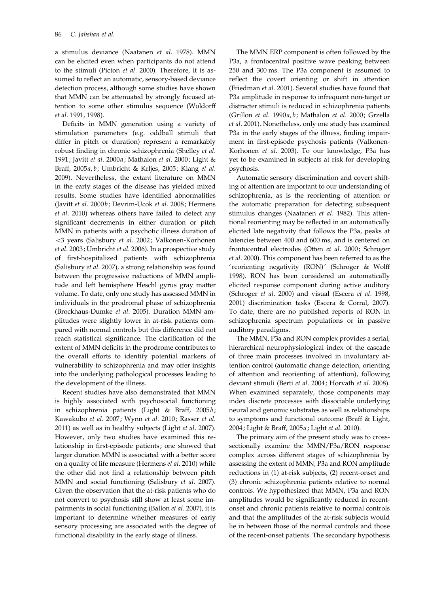a stimulus deviance (Naatanen et al. 1978). MMN can be elicited even when participants do not attend to the stimuli (Picton et al. 2000). Therefore, it is assumed to reflect an automatic, sensory-based deviance detection process, although some studies have shown that MMN can be attenuated by strongly focused attention to some other stimulus sequence (Woldorff et al. 1991, 1998).

Deficits in MMN generation using a variety of stimulation parameters (e.g. oddball stimuli that differ in pitch or duration) represent a remarkably robust finding in chronic schizophrenia (Shelley et al. 1991; Javitt et al. 2000a ; Mathalon et al. 2000; Light & Braff, 2005a, b; Umbricht & Krljes, 2005; Kiang et al. 2009). Nevertheless, the extant literature on MMN in the early stages of the disease has yielded mixed results. Some studies have identified abnormalities (Javitt et al. 2000b; Devrim-Ucok et al. 2008; Hermens et al. 2010) whereas others have failed to detect any significant decrements in either duration or pitch MMN in patients with a psychotic illness duration of <3 years (Salisbury et al. 2002; Valkonen-Korhonen et al. 2003; Umbricht et al. 2006). In a prospective study of first-hospitalized patients with schizophrenia (Salisbury et al. 2007), a strong relationship was found between the progressive reductions of MMN amplitude and left hemisphere Heschl gyrus gray matter volume. To date, only one study has assessed MMN in individuals in the prodromal phase of schizophrenia (Brockhaus-Dumke et al. 2005). Duration MMN amplitudes were slightly lower in at-risk patients compared with normal controls but this difference did not reach statistical significance. The clarification of the extent of MMN deficits in the prodrome contributes to the overall efforts to identify potential markers of vulnerability to schizophrenia and may offer insights into the underlying pathological processes leading to the development of the illness.

Recent studies have also demonstrated that MMN is highly associated with psychosocial functioning in schizophrenia patients (Light & Braff, 2005b; Kawakubo et al. 2007; Wynn et al. 2010; Rasser et al. 2011) as well as in healthy subjects (Light et al. 2007). However, only two studies have examined this relationship in first-episode patients; one showed that larger duration MMN is associated with a better score on a quality of life measure (Hermens et al. 2010) while the other did not find a relationship between pitch MMN and social functioning (Salisbury et al. 2007). Given the observation that the at-risk patients who do not convert to psychosis still show at least some impairments in social functioning (Ballon et al. 2007), it is important to determine whether measures of early sensory processing are associated with the degree of functional disability in the early stage of illness.

The MMN ERP component is often followed by the P3a, a frontocentral positive wave peaking between 250 and 300 ms. The P3a component is assumed to reflect the covert orienting or shift in attention (Friedman et al. 2001). Several studies have found that P3a amplitude in response to infrequent non-target or distracter stimuli is reduced in schizophrenia patients (Grillon et al. 1990a, b; Mathalon et al. 2000; Grzella et al. 2001). Nonetheless, only one study has examined P3a in the early stages of the illness, finding impairment in first-episode psychosis patients (Valkonen-Korhonen et al. 2003). To our knowledge, P3a has yet to be examined in subjects at risk for developing psychosis.

Automatic sensory discrimination and covert shifting of attention are important to our understanding of schizophrenia, as is the reorienting of attention or the automatic preparation for detecting subsequent stimulus changes (Naatanen et al. 1982). This attentional reorienting may be reflected in an automatically elicited late negativity that follows the P3a, peaks at latencies between 400 and 600 ms, and is centered on frontocentral electrodes (Otten et al. 2000; Schroger et al. 2000). This component has been referred to as the ' reorienting negativity (RON)' (Schroger & Wolff 1998). RON has been considered an automatically elicited response component during active auditory (Schroger et al. 2000) and visual (Escera et al. 1998, 2001) discrimination tasks (Escera & Corral, 2007). To date, there are no published reports of RON in schizophrenia spectrum populations or in passive auditory paradigms.

The MMN, P3a and RON complex provides a serial, hierarchical neurophysiological index of the cascade of three main processes involved in involuntary attention control (automatic change detection, orienting of attention and reorienting of attention), following deviant stimuli (Berti et al. 2004; Horvath et al. 2008). When examined separately, those components may index discrete processes with dissociable underlying neural and genomic substrates as well as relationships to symptoms and functional outcome (Braff & Light, 2004; Light & Braff, 2005a; Light et al. 2010).

The primary aim of the present study was to crosssectionally examine the MMN/P3a/RON response complex across different stages of schizophrenia by assessing the extent of MMN, P3a and RON amplitude reductions in (1) at-risk subjects, (2) recent-onset and (3) chronic schizophrenia patients relative to normal controls. We hypothesized that MMN, P3a and RON amplitudes would be significantly reduced in recentonset and chronic patients relative to normal controls and that the amplitudes of the at-risk subjects would lie in between those of the normal controls and those of the recent-onset patients. The secondary hypothesis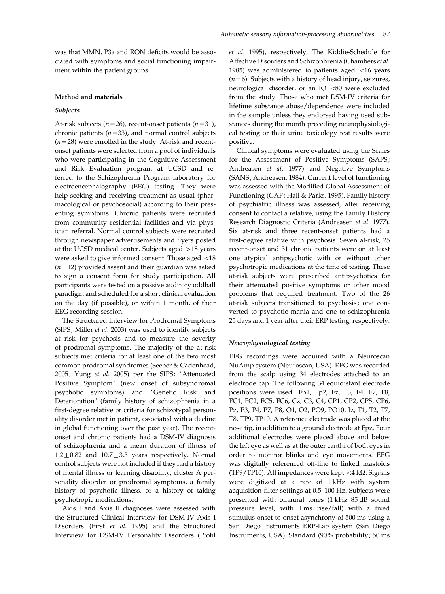was that MMN, P3a and RON deficits would be associated with symptoms and social functioning impairment within the patient groups.

# Method and materials

#### Subjects

At-risk subjects ( $n=26$ ), recent-onset patients ( $n=31$ ), chronic patients  $(n=33)$ , and normal control subjects  $(n=28)$  were enrolled in the study. At-risk and recentonset patients were selected from a pool of individuals who were participating in the Cognitive Assessment and Risk Evaluation program at UCSD and referred to the Schizophrenia Program laboratory for electroencephalography (EEG) testing. They were help-seeking and receiving treatment as usual (pharmacological or psychosocial) according to their presenting symptoms. Chronic patients were recruited from community residential facilities and via physician referral. Normal control subjects were recruited through newspaper advertisements and flyers posted at the UCSD medical center. Subjects aged >18 years were asked to give informed consent. Those aged <18  $(n=12)$  provided assent and their guardian was asked to sign a consent form for study participation. All participants were tested on a passive auditory oddball paradigm and scheduled for a short clinical evaluation on the day (if possible), or within 1 month, of their EEG recording session.

The Structured Interview for Prodromal Symptoms (SIPS; Miller et al. 2003) was used to identify subjects at risk for psychosis and to measure the severity of prodromal symptoms. The majority of the at-risk subjects met criteria for at least one of the two most common prodromal syndromes (Seeber & Cadenhead, 2005; Yung et al. 2005) per the SIPS: 'Attenuated Positive Symptom' (new onset of subsyndromal psychotic symptoms) and 'Genetic Risk and Deterioration' (family history of schizophrenia in a first-degree relative or criteria for schizotypal personality disorder met in patient, associated with a decline in global functioning over the past year). The recentonset and chronic patients had a DSM-IV diagnosis of schizophrenia and a mean duration of illness of  $1.2 \pm 0.82$  and  $10.7 \pm 3.3$  years respectively. Normal control subjects were not included if they had a history of mental illness or learning disability, cluster A personality disorder or prodromal symptoms, a family history of psychotic illness, or a history of taking psychotropic medications.

Axis I and Axis II diagnoses were assessed with the Structured Clinical Interview for DSM-IV Axis I Disorders (First et al. 1995) and the Structured Interview for DSM-IV Personality Disorders (Pfohl et al. 1995), respectively. The Kiddie-Schedule for Affective Disorders and Schizophrenia (Chambers et al. 1985) was administered to patients aged <16 years  $(n=6)$ . Subjects with a history of head injury, seizures, neurological disorder, or an IQ <80 were excluded from the study. Those who met DSM-IV criteria for lifetime substance abuse/dependence were included in the sample unless they endorsed having used substances during the month preceding neurophysiological testing or their urine toxicology test results were positive.

Clinical symptoms were evaluated using the Scales for the Assessment of Positive Symptoms (SAPS; Andreasen et al. 1977) and Negative Symptoms (SANS; Andreasen, 1984). Current level of functioning was assessed with the Modified Global Assessment of Functioning (GAF; Hall & Parks, 1995). Family history of psychiatric illness was assessed, after receiving consent to contact a relative, using the Family History Research Diagnostic Criteria (Andreasen et al. 1977). Six at-risk and three recent-onset patients had a first-degree relative with psychosis. Seven at-risk, 25 recent-onset and 31 chronic patients were on at least one atypical antipsychotic with or without other psychotropic medications at the time of testing. These at-risk subjects were prescribed antipsychotics for their attenuated positive symptoms or other mood problems that required treatment. Two of the 26 at-risk subjects transitioned to psychosis; one converted to psychotic mania and one to schizophrenia 25 days and 1 year after their ERP testing, respectively.

# Neurophysiological testing

EEG recordings were acquired with a Neuroscan NuAmp system (Neuroscan, USA). EEG was recorded from the scalp using 34 electrodes attached to an electrode cap. The following 34 equidistant electrode positions were used: Fp1, Fp2, Fz, F3, F4, F7, F8, FC1, FC2, FC5, FC6, Cz, C3, C4, CP1, CP2, CP5, CP6, Pz, P3, P4, P7, P8, O1, O2, PO9, PO10, Iz, T1, T2, T7, T8, TP9, TP10. A reference electrode was placed at the nose tip, in addition to a ground electrode at Fpz. Four additional electrodes were placed above and below the left eye as well as at the outer canthi of both eyes in order to monitor blinks and eye movements. EEG was digitally referenced off-line to linked mastoids (TP9/TP10). All impedances were kept  $\langle 4 \text{ k}\Omega$ . Signals were digitized at a rate of 1 kHz with system acquisition filter settings at 0.5–100 Hz. Subjects were presented with binaural tones (1 kHz 85 dB sound pressure level, with 1 ms rise/fall) with a fixed stimulus onset-to-onset asynchrony of 500 ms using a San Diego Instruments ERP-Lab system (San Diego Instruments, USA). Standard (90% probability; 50 ms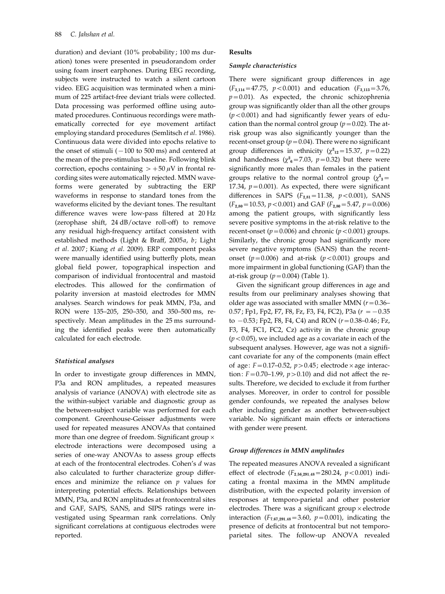duration) and deviant (10% probability; 100 ms duration) tones were presented in pseudorandom order using foam insert earphones. During EEG recording, subjects were instructed to watch a silent cartoon video. EEG acquisition was terminated when a minimum of 225 artifact-free deviant trials were collected. Data processing was performed offline using automated procedures. Continuous recordings were mathematically corrected for eye movement artifact employing standard procedures (Semlitsch et al. 1986). Continuous data were divided into epochs relative to the onset of stimuli  $(-100$  to 500 ms) and centered at the mean of the pre-stimulus baseline. Following blink correction, epochs containing  $> +50 \mu V$  in frontal recording sites were automatically rejected. MMN waveforms were generated by subtracting the ERP waveforms in response to standard tones from the waveforms elicited by the deviant tones. The resultant difference waves were low-pass filtered at 20 Hz (zerophase shift, 24 dB/octave roll-off) to remove any residual high-frequency artifact consistent with established methods (Light & Braff, 2005a, b; Light et al. 2007; Kiang et al. 2009). ERP component peaks were manually identified using butterfly plots, mean global field power, topographical inspection and comparison of individual frontocentral and mastoid electrodes. This allowed for the confirmation of polarity inversion at mastoid electrodes for MMN analyses. Search windows for peak MMN, P3a, and RON were 135–205, 250–350, and 350–500 ms, respectively. Mean amplitudes in the 25 ms surrounding the identified peaks were then automatically calculated for each electrode.

# Statistical analyses

In order to investigate group differences in MMN, P3a and RON amplitudes, a repeated measures analysis of variance (ANOVA) with electrode site as the within-subject variable and diagnostic group as the between-subject variable was performed for each component. Greenhouse-Geisser adjustments were used for repeated measures ANOVAs that contained more than one degree of freedom. Significant group  $\times$ electrode interactions were decomposed using a series of one-way ANOVAs to assess group effects at each of the frontocentral electrodes. Cohen's d was also calculated to further characterize group differences and minimize the reliance on  $p$  values for interpreting potential effects. Relationships between MMN, P3a, and RON amplitudes at frontocentral sites and GAF, SAPS, SANS, and SIPS ratings were investigated using Spearman rank correlations. Only significant correlations at contiguous electrodes were reported.

#### Results

#### Sample characteristics

There were significant group differences in age  $(F_{3,114}=47.75, p<0.001)$  and education  $(F_{3,113}=3.76,$  $p=0.01$ ). As expected, the chronic schizophrenia group was significantly older than all the other groups  $(p<0.001)$  and had significantly fewer years of education than the normal control group ( $p=0.02$ ). The atrisk group was also significantly younger than the recent-onset group ( $p=0.04$ ). There were no significant group differences in ethnicity ( $\chi^2_{12}$ =15.37, p=0.22) and handedness ( $\chi^2$ <sub>6</sub>=7.03,  $p$ =0.32) but there were significantly more males than females in the patient groups relative to the normal control group  $(\chi^2_{3})$ 17.34,  $p = 0.001$ ). As expected, there were significant differences in SAPS  $(F_{2.81} = 11.38, p < 0.001)$ , SANS  $(F_{2,80}=10.53, p<0.001)$  and GAF  $(F_{2,80}=5.47, p=0.006)$ among the patient groups, with significantly less severe positive symptoms in the at-risk relative to the recent-onset ( $p=0.006$ ) and chronic ( $p<0.001$ ) groups. Similarly, the chronic group had significantly more severe negative symptoms (SANS) than the recentonset ( $p=0.006$ ) and at-risk ( $p<0.001$ ) groups and more impairment in global functioning (GAF) than the at-risk group  $(p=0.004)$  (Table 1).

Given the significant group differences in age and results from our preliminary analyses showing that older age was associated with smaller MMN ( $r=0.36-$ 0.57; Fp1, Fp2, F7, F8, Fz, F3, F4, FC2), P3a ( $r = -0.35$ to  $-0.53$ ; Fp2, F8, F4, C4) and RON ( $r=0.38-0.46$ ; Fz, F3, F4, FC1, FC2, Cz) activity in the chronic group  $(p<0.05)$ , we included age as a covariate in each of the subsequent analyses. However, age was not a significant covariate for any of the components (main effect of age:  $F = 0.17 - 0.52$ ,  $p > 0.45$ ; electrode  $\times$  age interaction:  $F=0.70-1.99$ ,  $p>0.10$ ) and did not affect the results. Therefore, we decided to exclude it from further analyses. Moreover, in order to control for possible gender confounds, we repeated the analyses below after including gender as another between-subject variable. No significant main effects or interactions with gender were present.

#### Group differences in MMN amplitudes

The repeated measures ANOVA revealed a significant effect of electrode  $(F_{2.56,291,48}=280.24, p<0.001)$  indicating a frontal maxima in the MMN amplitude distribution, with the expected polarity inversion of responses at temporo-parietal and other posterior electrodes. There was a significant group  $\times$  electrode interaction ( $F_{7.67,291.48}$ =3.60,  $p$ =0.001), indicating the presence of deficits at frontocentral but not temporoparietal sites. The follow-up ANOVA revealed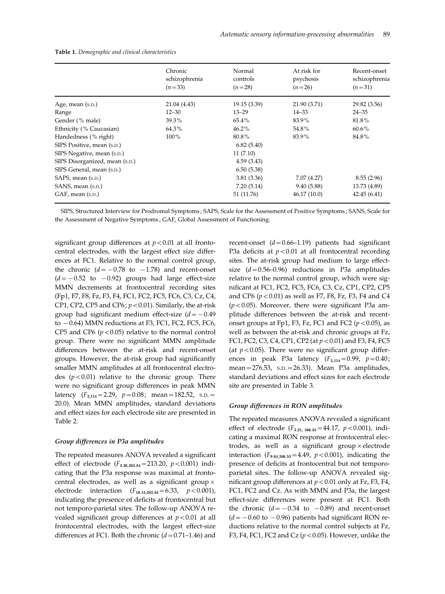|                                | Chronic<br>schizophrenia<br>$(n=33)$ | Normal<br>controls<br>$(n=28)$ | At risk for<br>psychosis<br>$(n=26)$ | Recent-onset<br>schizophrenia<br>$(n=31)$ |
|--------------------------------|--------------------------------------|--------------------------------|--------------------------------------|-------------------------------------------|
|                                |                                      |                                |                                      |                                           |
| Age, mean (s.p.)               | 21.04 (4.43)                         | 19.15 (3.39)                   | 21.90 (3.71)                         | 29.82 (3.56)                              |
| Range                          | $12 - 30$                            | $13 - 29$                      | $14 - 33$                            | $24 - 35$                                 |
| Gender (% male)                | 39.3%                                | 65.4%                          | 83.9%                                | 81.8%                                     |
| Ethnicity (% Caucasian)        | 64.3%                                | $46.2\%$                       | 54.8%                                | $60.6\%$                                  |
| Handedness (% right)           | $100\%$                              | 80.8%                          | 83.9%                                | 84.8%                                     |
| SIPS Positive, mean (s.p.)     |                                      | 6.82(5.40)                     |                                      |                                           |
| SIPS Negative, mean (s.p.)     |                                      | 11(7.10)                       |                                      |                                           |
| SIPS Disorganized, mean (s.p.) |                                      | 4.59(3.43)                     |                                      |                                           |
| SIPS General, mean (s.p.)      |                                      | 6.50(5.38)                     |                                      |                                           |
| SAPS, mean (s.p.)              |                                      | 3.81(3.36)                     | 7.07 (4.27)                          | 8.55(2.96)                                |
| SANS, mean (s.p.)              |                                      | 7.20(5.14)                     | 9.40(5.88)                           | 13.73 (4.89)                              |
| GAF, mean (s.p.)               |                                      | 51 (11.76)                     | 46.17(10.0)                          | 42.45(6.41)                               |

SIPS, Structured Interview for Prodromal Symptoms ; SAPS, Scale for the Assessment of Positive Symptoms ; SANS, Scale for the Assessment of Negative Symptoms ; GAF, Global Assessment of Functioning.

significant group differences at  $p < 0.01$  at all frontocentral electrodes, with the largest effect size differences at FC1. Relative to the normal control group, the chronic  $(d=-0.78$  to  $-1.78$ ) and recent-onset  $(d=-0.52$  to  $-0.92)$  groups had large effect-size MMN decrements at frontocentral recording sites (Fp1, F7, F8, Fz, F3, F4, FC1, FC2, FC5, FC6, C3, Cz, C4, CP1, CP2, CP5 and CP6;  $p < 0.01$ ). Similarly, the at-risk group had significant medium effect-size  $(d=-0.49)$ to  $-0.64$ ) MMN reductions at F3, FC1, FC2, FC5, FC6, CP5 and CP6 ( $p < 0.05$ ) relative to the normal control group. There were no significant MMN amplitude differences between the at-risk and recent-onset groups. However, the at-risk group had significantly smaller MMN amplitudes at all frontocentral electrodes  $(p<0.01)$  relative to the chronic group. There were no significant group differences in peak MMN latency  $(F_{3,114}=2.29, p=0.08; \text{mean}=182.52, \text{ s.D.}$ 20.0). Mean MMN amplitudes, standard deviations and effect sizes for each electrode site are presented in Table 2.

#### Group differences in P3a amplitudes

The repeated measures ANOVA revealed a significant effect of electrode  $(F_{3.38,385.84} = 213.20, p < 0.001)$  indicating that the P3a response was maximal at frontocentral electrodes, as well as a significant group  $\times$ electrode interaction  $(F_{10.15,385.84} = 6.33, p < 0.001$ ), indicating the presence of deficits at frontocentral but not temporo-parietal sites. The follow-up ANOVA revealed significant group differences at  $p < 0.01$  at all frontocentral electrodes, with the largest effect-size differences at FC1. Both the chronic  $(d=0.71-1.46)$  and

recent-onset  $(d=0.66-1.19)$  patients had significant P3a deficits at  $p < 0.01$  at all frontocentral recording sites. The at-risk group had medium to large effectsize  $(d=0.56-0.96)$  reductions in P3a amplitudes relative to the normal control group, which were significant at FC1, FC2, FC5, FC6, C3, Cz, CP1, CP2, CP5 and CP6  $(p<0.01)$  as well as F7, F8, Fz, F3, F4 and C4  $(p<0.05)$ . Moreover, there were significant P3a amplitude differences between the at-risk and recentonset groups at Fp1, F3, Fz, FC1 and FC2 ( $p$  < 0.05), as well as between the at-risk and chronic groups at Fz, FC1, FC2, C3, C4, CP1, CP2 (at  $p < 0.01$ ) and F3, F4, FC5 (at  $p < 0.05$ ). There were no significant group differences in peak P3a latency  $(F_{3,114}=0.99, p=0.40)$ ; mean=276.53, S.D.=26.33). Mean P3a amplitudes, standard deviations and effect sizes for each electrode site are presented in Table 3.

#### Group differences in RON amplitudes

The repeated measures ANOVA revealed a significant effect of electrode  $(F_{3.21, 366.53} = 44.17, p < 0.001)$ , indicating a maximal RON response at frontocentral electrodes, as well as a significant group  $\times$  electrode interaction ( $F_{9.64,366,53}$  = 4.49,  $p$  < 0.001), indicating the presence of deficits at frontocentral but not temporoparietal sites. The follow-up ANOVA revealed significant group differences at  $p < 0.01$  only at Fz, F3, F4, FC1, FC2 and Cz. As with MMN and P3a, the largest effect-size differences were present at FC1. Both the chronic  $(d=-0.34$  to  $-0.89)$  and recent-onset  $(d=-0.60$  to  $-0.96$ ) patients had significant RON reductions relative to the normal control subjects at Fz, F3, F4, FC1, FC2 and Cz ( $p < 0.05$ ). However, unlike the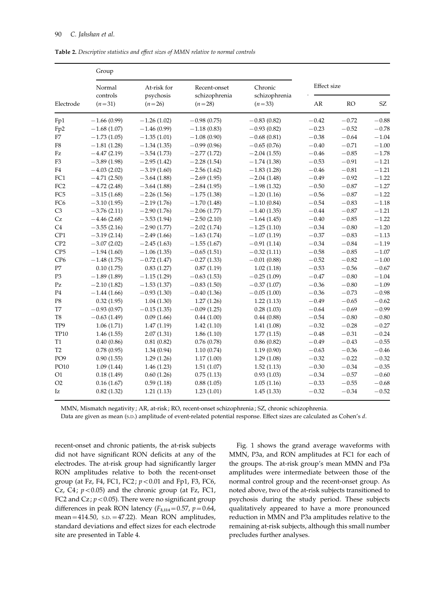Table 2. Descriptive statistics and effect sizes of MMN relative to normal controls

| Electrode       | Group                          |                                      |                                           |                          |             |             |         |  |
|-----------------|--------------------------------|--------------------------------------|-------------------------------------------|--------------------------|-------------|-------------|---------|--|
|                 | Normal<br>controls<br>$(n=31)$ | At-risk for<br>psychosis<br>$(n=26)$ | Recent-onset<br>schizophrenia<br>$(n=28)$ | Chronic<br>schizophrenia | Effect size |             |         |  |
|                 |                                |                                      |                                           | $(n=33)$                 | AR          | <b>RO</b>   | SZ      |  |
| Fp1             | $-1.66(0.99)$                  | $-1.26(1.02)$                        | $-0.98(0.75)$                             | $-0.83(0.82)$            | $-0.42$     | $-0.72$     | $-0.88$ |  |
| Fp2             | $-1.68(1.07)$                  | $-1.46(0.99)$                        | $-1.18(0.83)$                             | $-0.93(0.82)$            | $-0.23$     | $-0.52$     | $-0.78$ |  |
| F7              | $-1.73(1.05)$                  | $-1.35(1.01)$                        | $-1.08(0.90)$                             | $-0.68(0.81)$            | $-0.38$     | $-0.64$     | $-1.04$ |  |
| ${\rm F}8$      | $-1.81(1.28)$                  | $-1.34(1.35)$                        | $-0.99(0.96)$                             | $-0.65(0.76)$            | $-0.40$     | $-0.71$     | $-1.00$ |  |
| Fz              | $-4.47(2.19)$                  | $-3.54(1.73)$                        | $-2.77(1.72)$                             | $-2.04(1.55)$            | $-0.46$     | $-0.85$     | $-1.78$ |  |
| F <sub>3</sub>  | $-3.89(1.98)$                  | $-2.95(1.42)$                        | $-2.28(1.54)$                             | $-1.74(1.38)$            | $-0.53$     | $-0.91$     | $-1.21$ |  |
| F4              | $-4.03(2.02)$                  | $-3.19(1.60)$                        | $-2.56(1.62)$                             | $-1.83(1.28)$            | $-0.46$     | $\!-0.81\!$ | $-1.21$ |  |
| FC1             | $-4.71(2.50)$                  | $-3.64(1.88)$                        | $-2.69(1.95)$                             | $-2.04(1.48)$            | $-0.49$     | $-0.92$     | $-1.22$ |  |
| FC <sub>2</sub> | $-4.72(2.48)$                  | $-3.64(1.88)$                        | $-2.84(1.95)$                             | $-1.98(1.32)$            | $-0.50$     | $-0.87$     | $-1.27$ |  |
| FC <sub>5</sub> | $-3.15(1.68)$                  | $-2.26(1.56)$                        | $-1.75(1.38)$                             | $-1.20(1.16)$            | $-0.56$     | $\!-0.87$   | $-1.22$ |  |
| FC <sub>6</sub> | $-3.10(1.95)$                  | $-2.19(1.76)$                        | $-1.70(1.48)$                             | $-1.10(0.84)$            | $-0.54$     | $-0.83$     | $-1.18$ |  |
| C <sub>3</sub>  | $-3.76(2.11)$                  | $-2.90(1.76)$                        | $-2.06(1.77)$                             | $-1.40(1.35)$            | $-0.44$     | $-0.87$     | $-1.21$ |  |
| Cz              | $-4.46(2.68)$                  | $-3.53(1.94)$                        | $-2.50(2.10)$                             | $-1.64(1.45)$            | $-0.40$     | $-0.85$     | $-1.22$ |  |
| C4              | $-3.55(2.16)$                  | $-2.90(1.77)$                        | $-2.02(1.74)$                             | $-1.25(1.10)$            | $-0.34$     | $\!-0.80$   | $-1.20$ |  |
| CP1             | $-3.19(2.14)$                  | $-2.49(1.66)$                        | $-1.63(1.74)$                             | $-1.07(1.19)$            | $-0.37$     | $-0.83$     | $-1.13$ |  |
| CP <sub>2</sub> | $-3.07(2.02)$                  | $-2.45(1.63)$                        | $-1.55(1.67)$                             | $-0.91(1.14)$            | $-0.34$     | $\!-0.84\!$ | $-1.19$ |  |
| CP5             | $-1.94(1.60)$                  | $-1.06(1.35)$                        | $-0.65(1.51)$                             | $-0.32(1.11)$            | $-0.58$     | $-0.85$     | $-1.07$ |  |
| CP <sub>6</sub> | $-1.48(1.75)$                  | $-0.72(1.47)$                        | $-0.27(1.33)$                             | $-0.01(0.88)$            | $-0.52$     | $-0.82$     | $-1.00$ |  |
| P7              | 0.10(1.75)                     | 0.83(1.27)                           | 0.87(1.19)                                | 1.02(1.18)               | $-0.53$     | $-0.56$     | $-0.67$ |  |
| P <sub>3</sub>  | $-1.89(1.89)$                  | $-1.15(1.29)$                        | $-0.63(1.53)$                             | $-0.25(1.09)$            | $-0.47$     | $\!-0.80$   | $-1.04$ |  |
| Pz              | $-2.10(1.82)$                  | $-1.53(1.37)$                        | $-0.83(1.50)$                             | $-0.37(1.07)$            | $-0.36$     | $-0.80$     | $-1.09$ |  |
| P4              | $-1.44(1.66)$                  | $-0.93(1.30)$                        | $-0.40(1.36)$                             | $-0.05(1.00)$            | $-0.36$     | $-0.73$     | $-0.98$ |  |
| P8              | 0.32(1.95)                     | 1.04(1.30)                           | 1.27(1.26)                                | 1.22(1.13)               | $-0.49$     | $-0.65$     | $-0.62$ |  |
| T7              | $-0.93(0.97)$                  | $-0.15(1.35)$                        | $-0.09(1.25)$                             | 0.28(1.03)               | $-0.64$     | $-0.69$     | $-0.99$ |  |
| T <sub>8</sub>  | $-0.63(1.49)$                  | 0.09(1.66)                           | 0.44(1.00)                                | 0.44(0.88)               | $-0.54$     | $-0.80$     | $-0.80$ |  |
| TP9             | 1.06(1.71)                     | 1.47(1.19)                           | 1.42(1.10)                                | 1.41(1.08)               | $-0.32$     | $-0.28$     | $-0.27$ |  |
| <b>TP10</b>     | 1.46(1.55)                     | 2.07(1.31)                           | 1.86(1.10)                                | 1.77(1.15)               | $-0.48$     | $-0.31$     | $-0.24$ |  |
| T1              | 0.40(0.86)                     | 0.81(0.82)                           | 0.76(0.78)                                | 0.86(0.82)               | $-0.49$     | $-0.43$     | $-0.55$ |  |
| T <sub>2</sub>  | 0.78(0.95)                     | 1.34(0.94)                           | 1.10(0.74)                                | 1.19(0.90)               | $-0.63$     | $-0.36$     | $-0.46$ |  |
| PO <sub>9</sub> | 0.90(1.55)                     | 1.29(1.26)                           | 1.17(1.00)                                | 1.29(1.08)               | $-0.32$     | $-0.22$     | $-0.32$ |  |
| PO10            | 1.09(1.44)                     | 1.46(1.23)                           | 1.51(1.07)                                | 1.52(1.13)               | $-0.30$     | $-0.34$     | $-0.35$ |  |
| O1              | 0.18(1.49)                     | 0.60(1.26)                           | 0.75(1.13)                                | 0.93(1.03)               | $-0.34$     | $-0.57$     | $-0.60$ |  |
| O2              | 0.16(1.67)                     | 0.59(1.18)                           | 0.88(1.05)                                | 1.05(1.16)               | $-0.33$     | $-0.55$     | $-0.68$ |  |
| Iz              | 0.82(1.32)                     | 1.21(1.13)                           | 1.23(1.01)                                | 1.45(1.33)               | $-0.32$     | $-0.34$     | $-0.52$ |  |

MMN, Mismatch negativity ; AR, at-risk; RO, recent-onset schizophrenia ; SZ, chronic schizophrenia.

Data are given as mean (s.D.) amplitude of event-related potential response. Effect sizes are calculated as Cohen's d.

recent-onset and chronic patients, the at-risk subjects did not have significant RON deficits at any of the electrodes. The at-risk group had significantly larger RON amplitudes relative to both the recent-onset group (at Fz, F4, FC1, FC2;  $p < 0.01$  and Fp1, F3, FC6, Cz, C4;  $p < 0.05$ ) and the chronic group (at Fz, FC1, FC2 and Cz;  $p < 0.05$ ). There were no significant group differences in peak RON latency  $(F_{3,114}=0.57, p=0.64,$ mean=414.50, S.D.=47.22). Mean RON amplitudes, standard deviations and effect sizes for each electrode site are presented in Table 4.

Fig. 1 shows the grand average waveforms with MMN, P3a, and RON amplitudes at FC1 for each of the groups. The at-risk group's mean MMN and P3a amplitudes were intermediate between those of the normal control group and the recent-onset group. As noted above, two of the at-risk subjects transitioned to psychosis during the study period. These subjects qualitatively appeared to have a more pronounced reduction in MMN and P3a amplitudes relative to the remaining at-risk subjects, although this small number precludes further analyses.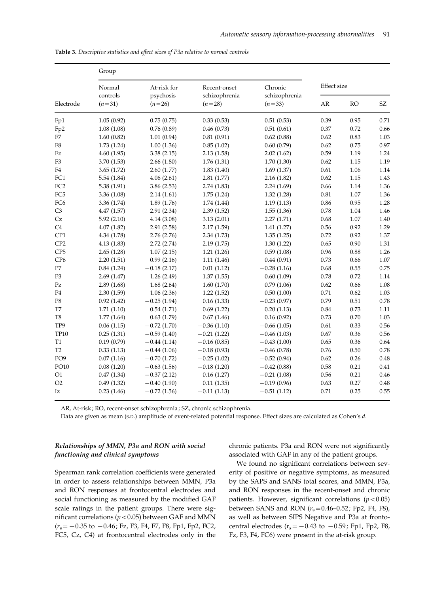| Electrode               | Group                          |                                      |                                           |                                      |                    |           |                            |
|-------------------------|--------------------------------|--------------------------------------|-------------------------------------------|--------------------------------------|--------------------|-----------|----------------------------|
|                         | Normal<br>controls<br>$(n=31)$ | At-risk for<br>psychosis<br>$(n=26)$ | Recent-onset<br>schizophrenia<br>$(n=28)$ | Chronic<br>schizophrenia<br>$(n=33)$ | <b>Effect</b> size |           |                            |
|                         |                                |                                      |                                           |                                      | AR                 | <b>RO</b> | $\ensuremath{\mathrm{SZ}}$ |
| Fp1                     | 1.05(0.92)                     | 0.75(0.75)                           | 0.33(0.53)                                | 0.51(0.53)                           | 0.39               | 0.95      | 0.71                       |
| Fp <sub>2</sub>         | 1.08(1.08)                     | 0.76(0.89)                           | 0.46(0.73)                                | 0.51(0.61)                           | 0.37               | 0.72      | 0.66                       |
| F7                      | 1.60(0.82)                     | 1.01(0.94)                           | 0.81(0.91)                                | 0.62(0.88)                           | 0.62               | 0.83      | 1.03                       |
| ${\rm F}8$              | 1.73(1.24)                     | 1.00(1.36)                           | 0.85(1.02)                                | 0.60(0.79)                           | 0.62               | 0.75      | 0.97                       |
| Fz                      | 4.60(1.95)                     | 3.38(2.15)                           | 2.13(1.58)                                | 2.02(1.62)                           | 0.59               | 1.19      | 1.24                       |
| F <sub>3</sub>          | 3.70(1.53)                     | 2.66(1.80)                           | 1.76(1.31)                                | 1.70(1.30)                           | 0.62               | 1.15      | 1.19                       |
| F4                      | 3.65(1.72)                     | 2.60(1.77)                           | 1.83(1.40)                                | 1.69(1.37)                           | 0.61               | 1.06      | 1.14                       |
| FC1                     | 5.54(1.84)                     | 4.06(2.61)                           | 2.81(1.77)                                | 2.16(1.82)                           | 0.62               | 1.15      | 1.43                       |
| FC <sub>2</sub>         | 5.38(1.91)                     | 3.86(2.53)                           | 2.74(1.83)                                | 2.24(1.69)                           | 0.66               | 1.14      | 1.36                       |
| FC <sub>5</sub>         | 3.36 (1.08)                    | 2.14(1.61)                           | 1.75(1.24)                                | 1.32(1.28)                           | 0.81               | $1.07\,$  | 1.36                       |
| FC <sub>6</sub>         | 3.36 (1.74)                    | 1.89(1.76)                           | 1.74(1.44)                                | 1.19(1.13)                           | 0.86               | 0.95      | 1.28                       |
| C <sub>3</sub>          | 4.47(1.57)                     | 2.91(2.34)                           | 2.39(1.52)                                | 1.55(1.36)                           | 0.78               | 1.04      | 1.46                       |
| $\mathsf{C} \mathsf{z}$ | 5.92(2.10)                     | 4.14(3.08)                           | 3.13(2.01)                                | 2.27(1.71)                           | 0.68               | $1.07\,$  | 1.40                       |
| C4                      | 4.07(1.82)                     | 2.91(2.58)                           | 2.17(1.59)                                | 1.41(1.27)                           | 0.56               | 0.92      | 1.29                       |
| CP1                     | 4.34 (1.78)                    | 2.76(2.76)                           | 2.34(1.73)                                | 1.35(1.25)                           | 0.72               | 0.92      | 1.37                       |
| CP <sub>2</sub>         | 4.13(1.83)                     | 2.72(2.74)                           | 2.19(1.75)                                | 1.30(1.22)                           | 0.65               | 0.90      | 1.31                       |
| CP <sub>5</sub>         | 2.65(1.28)                     | 1.07(2.15)                           | 1.21(1.26)                                | 0.59(1.08)                           | 0.96               | $0.88\,$  | 1.26                       |
| CP <sub>6</sub>         | 2.20(1.51)                     | 0.99(2.16)                           | 1.11(1.46)                                | 0.44(0.91)                           | 0.73               | 0.66      | 1.07                       |
| $\rm P7$                | 0.84(1.24)                     | $-0.18(2.17)$                        | 0.01(1.12)                                | $-0.28(1.16)$                        | 0.68               | 0.55      | 0.75                       |
| P <sub>3</sub>          | 2.69(1.47)                     | 1.26(2.49)                           | 1.37(1.55)                                | 0.60(1.09)                           | 0.78               | 0.72      | 1.14                       |
| Pz                      | 2.89(1.68)                     | 1.68(2.64)                           | 1.60(1.70)                                | 0.79(1.06)                           | 0.62               | 0.66      | 1.08                       |
| P4                      | 2.30(1.59)                     | 1.06(2.36)                           | 1.22(1.52)                                | 0.50(1.00)                           | 0.71               | 0.62      | 1.03                       |
| P8                      | 0.92(1.42)                     | $-0.25(1.94)$                        | 0.16(1.33)                                | $-0.23(0.97)$                        | 0.79               | 0.51      | 0.78                       |
| T7                      | 1.71(1.10)                     | 0.54(1.71)                           | 0.69(1.22)                                | 0.20(1.13)                           | 0.84               | 0.73      | 1.11                       |
| T <sub>8</sub>          | 1.77(1.64)                     | 0.63(1.79)                           | 0.67(1.46)                                | 0.16(0.92)                           | 0.73               | $0.70\,$  | 1.03                       |
| TP9                     | 0.06(1.15)                     | $-0.72$ (1.70)                       | $-0.36(1.10)$                             | $-0.66(1.05)$                        | 0.61               | 0.33      | 0.56                       |
| <b>TP10</b>             | 0.25(1.31)                     | $-0.59(1.40)$                        | $-0.21(1.22)$                             | $-0.46(1.03)$                        | 0.67               | 0.36      | 0.56                       |
| Τ1                      | 0.19(0.79)                     | $-0.44(1.14)$                        | $-0.16(0.85)$                             | $-0.43(1.00)$                        | 0.65               | 0.36      | 0.64                       |
| T <sub>2</sub>          | 0.33(1.13)                     | $-0.44(1.06)$                        | $-0.18(0.93)$                             | $-0.46(0.78)$                        | 0.76               | $0.50\,$  | 0.78                       |
| PO <sub>9</sub>         | 0.07(1.16)                     | $-0.70(1.72)$                        | $-0.25(1.02)$                             | $-0.52(0.94)$                        | 0.62               | 0.26      | 0.48                       |
| PO10                    | 0.08(1.20)                     | $-0.63(1.56)$                        | $-0.18(1.20)$                             | $-0.42(0.88)$                        | $0.58\,$           | 0.21      | 0.41                       |
| O1                      | 0.47(1.34)                     | $-0.37(2.12)$                        | 0.16(1.27)                                | $-0.21(1.08)$                        | 0.56               | 0.21      | 0.46                       |
| O2                      | 0.49(1.32)                     | $-0.40(1.90)$                        | 0.11(1.35)                                | $-0.19(0.96)$                        | 0.63               | 0.27      | 0.48                       |
| Iz                      | 0.23(1.46)                     | $-0.72(1.56)$                        | $-0.11(1.13)$                             | $-0.51(1.12)$                        | 0.71               | 0.25      | 0.55                       |

Table 3. Descriptive statistics and effect sizes of P3a relative to normal controls

AR, At-risk ; RO, recent-onset schizophrenia ; SZ, chronic schizophrenia.

Data are given as mean (S.D.) amplitude of event-related potential response. Effect sizes are calculated as Cohen's d.

# Relationships of MMN, P3a and RON with social functioning and clinical symptoms

chronic patients. P3a and RON were not significantly associated with GAF in any of the patient groups.

Spearman rank correlation coefficients were generated in order to assess relationships between MMN, P3a and RON responses at frontocentral electrodes and social functioning as measured by the modified GAF scale ratings in the patient groups. There were significant correlations ( $p < 0.05$ ) between GAF and MMN  $(r<sub>s</sub>=-0.35$  to  $-0.46$ ; Fz, F3, F4, F7, F8, Fp1, Fp2, FC2, FC5, Cz, C4) at frontocentral electrodes only in the

We found no significant correlations between severity of positive or negative symptoms, as measured by the SAPS and SANS total scores, and MMN, P3a, and RON responses in the recent-onset and chronic patients. However, significant correlations ( $p < 0.05$ ) between SANS and RON  $(r_s = 0.46 - 0.52; Fp2, F4, F8)$ , as well as between SIPS Negative and P3a at frontocentral electrodes ( $r_s = -0.43$  to  $-0.59$ ; Fp1, Fp2, F8, Fz, F3, F4, FC6) were present in the at-risk group.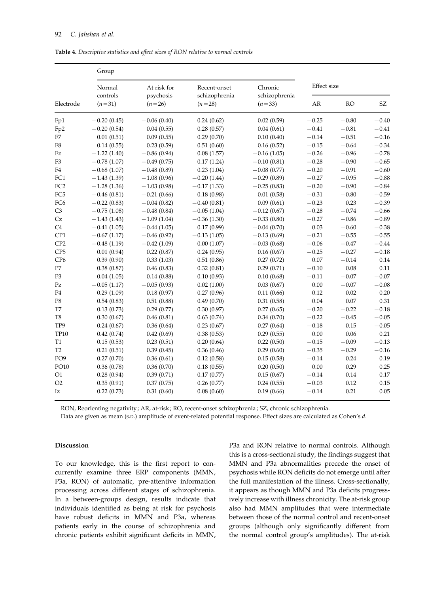Table 4. Descriptive statistics and effect sizes of RON relative to normal controls

| Electrode                  | Group                          |                                      |                                           |                                      |                    |           |                            |
|----------------------------|--------------------------------|--------------------------------------|-------------------------------------------|--------------------------------------|--------------------|-----------|----------------------------|
|                            | Normal<br>controls<br>$(n=31)$ | At risk for<br>psychosis<br>$(n=26)$ | Recent-onset<br>schizophrenia<br>$(n=28)$ | Chronic<br>schizophrenia<br>$(n=33)$ | <b>Effect</b> size |           |                            |
|                            |                                |                                      |                                           |                                      | AR                 | RO        | $\ensuremath{\mathrm{SZ}}$ |
| Fp1                        | $-0.20(0.45)$                  | $-0.06(0.40)$                        | 0.24(0.62)                                | 0.02(0.59)                           | $-0.25$            | $-0.80$   | $-0.40$                    |
| Fp <sub>2</sub>            | $-0.20(0.54)$                  | 0.04(0.55)                           | 0.28(0.57)                                | 0.04(0.61)                           | $-0.41$            | $-0.81$   | $-0.41$                    |
| F7                         | 0.01(0.51)                     | 0.09(0.55)                           | 0.29(0.70)                                | 0.10(0.40)                           | $-0.14$            | $-0.51$   | $-0.16$                    |
| ${\rm F}8$                 | 0.14(0.55)                     | 0.23(0.59)                           | 0.51(0.60)                                | 0.16(0.52)                           | $-0.15$            | $-0.64$   | $-0.34$                    |
| $\ensuremath{\textsc{Fz}}$ | $-1.22(1.40)$                  | $-0.86(0.94)$                        | 0.08(1.57)                                | $-0.16(1.05)$                        | $-0.26$            | $-0.96$   | $-0.78$                    |
| F <sub>3</sub>             | $-0.78(1.07)$                  | $-0.49(0.75)$                        | 0.17(1.24)                                | $-0.10(0.81)$                        | $-0.28$            | $-0.90$   | $-0.65$                    |
| F4                         | $-0.68(1.07)$                  | $-0.48(0.89)$                        | 0.23(1.04)                                | $-0.08(0.77)$                        | $-0.20$            | $-0.91$   | $-0.60$                    |
| FC1                        | $-1.43(1.39)$                  | $-1.08(0.96)$                        | $-0.20(1.44)$                             | $-0.29(0.89)$                        | $-0.27$            | $-0.95$   | $-0.88$                    |
| FC <sub>2</sub>            | $-1.28(1.36)$                  | $-1.03(0.98)$                        | $-0.17(1.33)$                             | $-0.25(0.83)$                        | $-0.20$            | $-0.90$   | $-0.84$                    |
| FC <sub>5</sub>            | $-0.46(0.81)$                  | $-0.21(0.66)$                        | 0.18(0.98)                                | 0.01(0.58)                           | $-0.31$            | $-0.80$   | $-0.59$                    |
| FC <sub>6</sub>            | $-0.22(0.83)$                  | $-0.04(0.82)$                        | $-0.40(0.81)$                             | 0.09(0.61)                           | $-0.23$            | 0.23      | $-0.39$                    |
| C <sub>3</sub>             | $-0.75(1.08)$                  | $-0.48(0.84)$                        | $-0.05(1.04)$                             | $-0.12(0.67)$                        | $-0.28$            | $-0.74$   | $-0.66$                    |
| Cz                         | $-1.43(1.43)$                  | $-1.09(1.04)$                        | $-0.36(1.30)$                             | $-0.33(0.80)$                        | $-0.27$            | $-0.86$   | $-0.89$                    |
| C4                         | $-0.41(1.05)$                  | $-0.44(1.05)$                        | 0.17(0.99)                                | $-0.04(0.70)$                        | 0.03               | $-0.60$   | $-0.38$                    |
| CP1                        | $-0.67(1.17)$                  | $-0.46(0.92)$                        | $-0.13(1.05)$                             | $-0.13(0.69)$                        | $-0.21$            | $-0.55$   | $-0.55$                    |
| CP <sub>2</sub>            | $-0.48(1.19)$                  | $-0.42(1.09)$                        | 0.00(1.07)                                | $-0.03(0.68)$                        | $-0.06$            | $-0.47$   | $-0.44$                    |
| CP <sub>5</sub>            | 0.01(0.94)                     | 0.22(0.87)                           | 0.24(0.95)                                | 0.16(0.67)                           | $-0.25$            | $-0.27$   | $-0.18$                    |
| CP <sub>6</sub>            | 0.39(0.90)                     | 0.33(1.03)                           | 0.51(0.86)                                | 0.27(0.72)                           | 0.07               | $-0.14$   | 0.14                       |
| P7                         | 0.38(0.87)                     | 0.46(0.83)                           | 0.32(0.81)                                | 0.29(0.71)                           | $-0.10$            | $0.08\,$  | 0.11                       |
| P <sub>3</sub>             | 0.04(1.05)                     | 0.14(0.88)                           | 0.10(0.93)                                | 0.10(0.68)                           | $-0.11$            | $-0.07$   | $-0.07$                    |
| Pz                         | $-0.05(1.17)$                  | $-0.05(0.93)$                        | 0.02(1.00)                                | 0.03(0.67)                           | $0.00\,$           | $\!-0.07$ | $-0.08$                    |
| P <sub>4</sub>             | 0.29(1.09)                     | 0.18(0.97)                           | 0.27(0.96)                                | 0.11(0.66)                           | 0.12               | 0.02      | 0.20                       |
| P <sub>8</sub>             | 0.54(0.83)                     | 0.51(0.88)                           | 0.49(0.70)                                | 0.31(0.58)                           | 0.04               | 0.07      | 0.31                       |
| T7                         | 0.13(0.73)                     | 0.29(0.77)                           | 0.30(0.97)                                | 0.27(0.65)                           | $-0.20$            | $-0.22$   | $-0.18$                    |
| T8                         | 0.30(0.67)                     | 0.46(0.81)                           | 0.63(0.74)                                | 0.34(0.70)                           | $-0.22$            | $-0.45$   | $-0.05$                    |
| TP <sub>9</sub>            | 0.24(0.67)                     | 0.36(0.64)                           | 0.23(0.67)                                | 0.27(0.64)                           | $-0.18$            | 0.15      | $-0.05$                    |
| <b>TP10</b>                | 0.42(0.74)                     | 0.42(0.69)                           | 0.38(0.53)                                | 0.29(0.55)                           | 0.00               | 0.06      | 0.21                       |
| T1                         | 0.15(0.53)                     | 0.23(0.51)                           | 0.20(0.64)                                | 0.22(0.50)                           | $-0.15$            | $-0.09$   | $-0.13$                    |
| T <sub>2</sub>             | 0.21(0.51)                     | 0.39(0.45)                           | 0.36(0.46)                                | 0.29(0.60)                           | $-0.35$            | $-0.29$   | $-0.16$                    |
| PO <sub>9</sub>            | 0.27(0.70)                     | 0.36(0.61)                           | 0.12(0.58)                                | 0.15(0.58)                           | $-0.14$            | 0.24      | 0.19                       |
| PO10                       | 0.36(0.78)                     | 0.36(0.70)                           | 0.18(0.55)                                | 0.20(0.50)                           | 0.00               | 0.29      | 0.25                       |
| O <sub>1</sub>             | 0.28(0.94)                     | 0.39(0.71)                           | 0.17(0.77)                                | 0.15(0.67)                           | $-0.14$            | $0.14\,$  | 0.17                       |
| O2                         | 0.35(0.91)                     | 0.37(0.75)                           | 0.26(0.77)                                | 0.24(0.55)                           | $-0.03$            | 0.12      | 0.15                       |
| Iz                         | 0.22(0.73)                     | 0.31(0.60)                           | 0.08(0.60)                                | 0.19(0.66)                           | $-0.14$            | 0.21      | 0.05                       |

RON, Reorienting negativity ; AR, at-risk ; RO, recent-onset schizophrenia ; SZ, chronic schizophrenia.

Data are given as mean (s.D.) amplitude of event-related potential response. Effect sizes are calculated as Cohen's d.

# Discussion

To our knowledge, this is the first report to concurrently examine three ERP components (MMN, P3a, RON) of automatic, pre-attentive information processing across different stages of schizophrenia. In a between-groups design, results indicate that individuals identified as being at risk for psychosis have robust deficits in MMN and P3a, whereas patients early in the course of schizophrenia and chronic patients exhibit significant deficits in MMN, P3a and RON relative to normal controls. Although this is a cross-sectional study, the findings suggest that MMN and P3a abnormalities precede the onset of psychosis while RON deficits do not emerge until after the full manifestation of the illness. Cross-sectionally, it appears as though MMN and P3a deficits progressively increase with illness chronicity. The at-risk group also had MMN amplitudes that were intermediate between those of the normal control and recent-onset groups (although only significantly different from the normal control group's amplitudes). The at-risk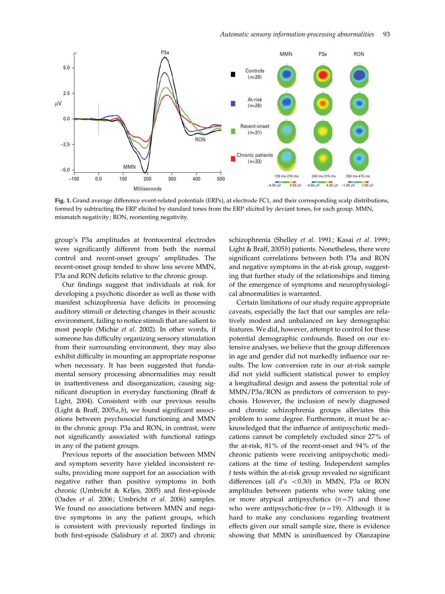

Fig. 1. Grand average difference event-related potentials (ERPs), at electrode FC1, and their corresponding scalp distributions, formed by subtracting the ERP elicited by standard tones from the ERP elicited by deviant tones, for each group. MMN, mismatch negativity ; RON, reorienting negativity.

group's P3a amplitudes at frontocentral electrodes were significantly different from both the normal control and recent-onset groups' amplitudes. The recent-onset group tended to show less severe MMN, P3a and RON deficits relative to the chronic group.

Our findings suggest that individuals at risk for developing a psychotic disorder as well as those with manifest schizophrenia have deficits in processing auditory stimuli or detecting changes in their acoustic environment, failing to notice stimuli that are salient to most people (Michie et al. 2002). In other words, if someone has difficulty organizing sensory stimulation from their surrounding environment, they may also exhibit difficulty in mounting an appropriate response when necessary. It has been suggested that fundamental sensory processing abnormalities may result in inattentiveness and disorganization, causing significant disruption in everyday functioning (Braff & Light, 2004). Consistent with our previous results (Light & Braff,  $2005a$ , b), we found significant associations between psychosocial functioning and MMN in the chronic group. P3a and RON, in contrast, were not significantly associated with functional ratings in any of the patient groups.

Previous reports of the association between MMN and symptom severity have yielded inconsistent results, providing more support for an association with negative rather than positive symptoms in both chronic (Umbricht & Krljes, 2005) and first-episode (Oades et al. 2006; Umbricht et al. 2006) samples. We found no associations between MMN and negative symptoms in any the patient groups, which is consistent with previously reported findings in both first-episode (Salisbury et al. 2007) and chronic schizophrenia (Shelley et al. 1991; Kasai et al. 1999; Light & Braff, 2005b) patients. Nonetheless, there were significant correlations between both P3a and RON and negative symptoms in the at-risk group, suggesting that further study of the relationships and timing of the emergence of symptoms and neurophysiological abnormalities is warranted.

Certain limitations of our study require appropriate caveats, especially the fact that our samples are relatively modest and unbalanced on key demographic features. We did, however, attempt to control for these potential demographic confounds. Based on our extensive analyses, we believe that the group differences in age and gender did not markedly influence our results. The low conversion rate in our at-risk sample did not yield sufficient statistical power to employ a longitudinal design and assess the potential role of MMN/P3a/RON as predictors of conversion to psychosis. However, the inclusion of newly diagnosed and chronic schizophrenia groups alleviates this problem to some degree. Furthermore, it must be acknowledged that the influence of antipsychotic medications cannot be completely excluded since 27% of the at-risk, 81% of the recent-onset and 94% of the chronic patients were receiving antipsychotic medications at the time of testing. Independent samples t tests within the at-risk group revealed no significant differences (all  $d$ 's <0.30) in MMN, P3a or RON amplitudes between patients who were taking one or more atypical antipsychotics  $(n=7)$  and those who were antipsychotic-free  $(n=19)$ . Although it is hard to make any conclusions regarding treatment effects given our small sample size, there is evidence showing that MMN is uninfluenced by Olanzapine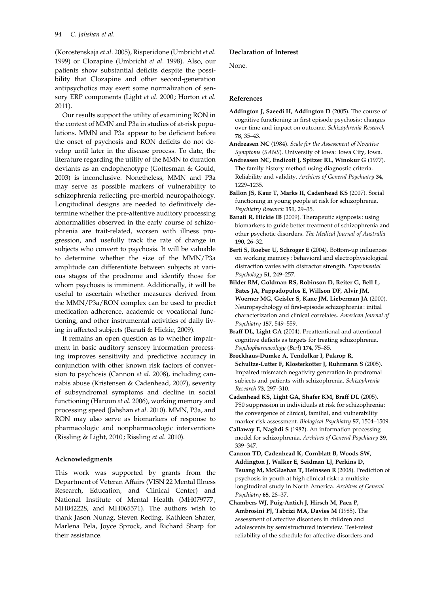(Korostenskaja et al. 2005), Risperidone (Umbricht et al. 1999) or Clozapine (Umbricht et al. 1998). Also, our patients show substantial deficits despite the possibility that Clozapine and other second-generation antipsychotics may exert some normalization of sensory ERP components (Light et al. 2000; Horton et al. 2011).

Our results support the utility of examining RON in the context of MMN and P3a in studies of at-risk populations. MMN and P3a appear to be deficient before the onset of psychosis and RON deficits do not develop until later in the disease process. To date, the literature regarding the utility of the MMN to duration deviants as an endophenotype (Gottesman & Gould, 2003) is inconclusive. Nonetheless, MMN and P3a may serve as possible markers of vulnerability to schizophrenia reflecting pre-morbid neuropathology. Longitudinal designs are needed to definitively determine whether the pre-attentive auditory processing abnormalities observed in the early course of schizophrenia are trait-related, worsen with illness progression, and usefully track the rate of change in subjects who convert to psychosis. It will be valuable to determine whether the size of the MMN/P3a amplitude can differentiate between subjects at various stages of the prodrome and identify those for whom psychosis is imminent. Additionally, it will be useful to ascertain whether measures derived from the MMN/P3a/RON complex can be used to predict medication adherence, academic or vocational functioning, and other instrumental activities of daily living in affected subjects (Banati & Hickie, 2009).

It remains an open question as to whether impairment in basic auditory sensory information processing improves sensitivity and predictive accuracy in conjunction with other known risk factors of conversion to psychosis (Cannon et al. 2008), including cannabis abuse (Kristensen & Cadenhead, 2007), severity of subsyndromal symptoms and decline in social functioning (Haroun et al. 2006), working memory and processing speed (Jahshan et al. 2010). MMN, P3a, and RON may also serve as biomarkers of response to pharmacologic and nonpharmacologic interventions (Rissling & Light, 2010; Rissling et al. 2010).

#### Acknowledgments

This work was supported by grants from the Department of Veteran Affairs (VISN 22 Mental Illness Research, Education, and Clinical Center) and National Institute of Mental Health (MH079777; MH042228, and MH065571). The authors wish to thank Jason Nunag, Steven Reding, Kathleen Shafer, Marlena Pela, Joyce Sprock, and Richard Sharp for their assistance.

#### Declaration of Interest

None.

# References

- Addington J, Saeedi H, Addington D (2005). The course of cognitive functioning in first episode psychosis : changes over time and impact on outcome. Schizophrenia Research 78, 35–43.
- Andreasen NC (1984). Scale for the Assessment of Negative Symptoms (SANS). University of Iowa : Iowa City, Iowa.
- Andreasen NC, Endicott J, Spitzer RL, Winokur G (1977). The family history method using diagnostic criteria. Reliability and validity. Archives of General Psychiatry 34, 1229–1235.
- Ballon JS, Kaur T, Marks II, Cadenhead KS (2007). Social functioning in young people at risk for schizophrenia. Psychiatry Research 151, 29-35.
- Banati R, Hickie IB (2009). Therapeutic signposts : using biomarkers to guide better treatment of schizophrenia and other psychotic disorders. The Medical Journal of Australia 190, 26–32.
- Berti S, Roeber U, Schroger E (2004). Bottom-up influences on working memory : behavioral and electrophysiological distraction varies with distractor strength. Experimental Psychology 51, 249–257.
- Bilder RM, Goldman RS, Robinson D, Reiter G, Bell L, Bates JA, Pappadopulos E, Willson DF, Alvir JM, Woerner MG, Geisler S, Kane JM, Lieberman JA (2000). Neuropsychology of first-episode schizophrenia : initial characterization and clinical correlates. American Journal of Psychiatry 157, 549–559.
- Braff DL, Light GA (2004). Preattentional and attentional cognitive deficits as targets for treating schizophrenia. Psychopharmacology (Berl) 174, 75–85.
- Brockhaus-Dumke A, Tendolkar I, Pukrop R, Schultze-Lutter F, Klosterkotter J, Ruhrmann S (2005). Impaired mismatch negativity generation in prodromal subjects and patients with schizophrenia. Schizophrenia Research 73, 297–310.
- Cadenhead KS, Light GA, Shafer KM, Braff DL (2005). P50 suppression in individuals at risk for schizophrenia : the convergence of clinical, familial, and vulnerability marker risk assessment. Biological Psychiatry 57, 1504–1509.
- Callaway E, Naghdi S (1982). An information processing model for schizophrenia. Archives of General Psychiatry 39, 339–347.
- Cannon TD, Cadenhead K, Cornblatt B, Woods SW, Addington J, Walker E, Seidman LJ, Perkins D, Tsuang M, McGlashan T, Heinssen R (2008). Prediction of psychosis in youth at high clinical risk : a multisite longitudinal study in North America. Archives of General Psychiatry 65, 28–37.
- Chambers WJ, Puig-Antich J, Hirsch M, Paez P, Ambrosini PJ, Tabrizi MA, Davies M (1985). The assessment of affective disorders in children and adolescents by semistructured interview. Test-retest reliability of the schedule for affective disorders and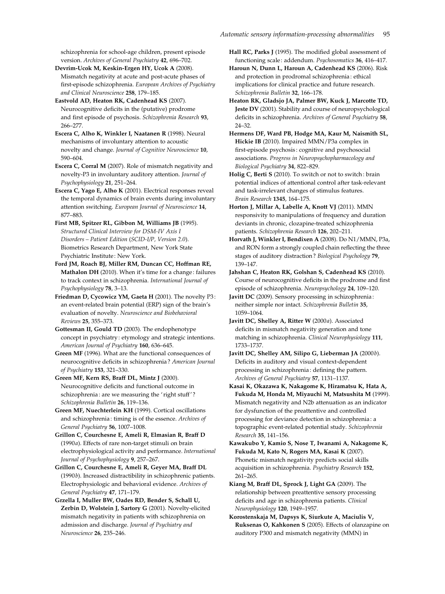schizophrenia for school-age children, present episode version. Archives of General Psychiatry 42, 696–702.

Devrim-Ucok M, Keskin-Ergen HY, Ucok A (2008). Mismatch negativity at acute and post-acute phases of first-episode schizophrenia. European Archives of Psychiatry and Clinical Neuroscience 258, 179–185.

Eastvold AD, Heaton RK, Cadenhead KS (2007). Neurocognitive deficits in the (putative) prodrome and first episode of psychosis. Schizophrenia Research 93, 266–277.

Escera C, Alho K, Winkler I, Naatanen R (1998). Neural mechanisms of involuntary attention to acoustic novelty and change. Journal of Cognitive Neuroscience 10, 590–604.

Escera C, Corral M (2007). Role of mismatch negativity and novelty-P3 in involuntary auditory attention. Journal of Psychophysiology 21, 251–264.

Escera C, Yago E, Alho K (2001). Electrical responses reveal the temporal dynamics of brain events during involuntary attention switching. European Journal of Neuroscience 14, 877–883.

First MB, Spitzer RL, Gibbon M, Williams JB (1995). Structured Clinical Interview for DSM-IV Axis I Disorders – Patient Edition (SCID-I/P, Version 2.0). Biometrics Research Department, New York State Psychiatric Institute : New York.

Ford JM, Roach BJ, Miller RM, Duncan CC, Hoffman RE, Mathalon DH (2010). When it's time for a change: failures to track context in schizophrenia. International Journal of Psychophysiology 78, 3–13.

Friedman D, Cycowicz YM, Gaeta H (2001). The novelty P3 : an event-related brain potential (ERP) sign of the brain's evaluation of novelty. Neuroscience and Biobehavioral Reviews 25, 355–373.

Gottesman II, Gould TD (2003). The endophenotype concept in psychiatry : etymology and strategic intentions. American Journal of Psychiatry 160, 636–645.

Green MF (1996). What are the functional consequences of neurocognitive deficits in schizophrenia ? American Journal of Psychiatry 153, 321–330.

Green MF, Kern RS, Braff DL, Mintz J (2000). Neurocognitive deficits and functional outcome in schizophrenia : are we measuring the ' right stuff' ? Schizophrenia Bulletin 26, 119–136.

Green MF, Nuechterlein KH (1999). Cortical oscillations and schizophrenia : timing is of the essence. Archives of General Psychiatry 56, 1007–1008.

Grillon C, Courchesne E, Ameli R, Elmasian R, Braff D (1990a). Effects of rare non-target stimuli on brain electrophysiological activity and performance. International Journal of Psychophysiology 9, 257–267.

Grillon C, Courchesne E, Ameli R, Geyer MA, Braff DL (1990b). Increased distractibility in schizophrenic patients. Electrophysiologic and behavioral evidence. Archives of General Psychiatry 47, 171–179.

Grzella I, Muller BW, Oades RD, Bender S, Schall U, Zerbin D, Wolstein J, Sartory G (2001). Novelty-elicited mismatch negativity in patients with schizophrenia on admission and discharge. Journal of Psychiatry and Neuroscience 26, 235–246.

Hall RC, Parks J (1995). The modified global assessment of functioning scale : addendum. Psychosomatics 36, 416–417.

Haroun N, Dunn L, Haroun A, Cadenhead KS (2006). Risk and protection in prodromal schizophrenia : ethical implications for clinical practice and future research. Schizophrenia Bulletin 32, 166–178.

Heaton RK, Gladsjo JA, Palmer BW, Kuck J, Marcotte TD, Jeste DV (2001). Stability and course of neuropsychological deficits in schizophrenia. Archives of General Psychiatry 58, 24–32.

Hermens DF, Ward PB, Hodge MA, Kaur M, Naismith SL, Hickie IB (2010). Impaired MMN/P3a complex in first-episode psychosis : cognitive and psychosocial associations. Progress in Neuropsychopharmacology and Biological Psychiatry 34, 822–829.

Holig C, Berti S (2010). To switch or not to switch : brain potential indices of attentional control after task-relevant and task-irrelevant changes of stimulus features. Brain Research 1345, 164–175.

Horton J, Millar A, Labelle A, Knott VJ (2011). MMN responsivity to manipulations of frequency and duration deviants in chronic, clozapine-treated schizophrenia patients. Schizophrenia Research 126, 202–211.

Horvath J, Winkler I, Bendixen A (2008). Do N1/MMN, P3a, and RON form a strongly coupled chain reflecting the three stages of auditory distraction ? Biological Psychology 79, 139–147.

Jahshan C, Heaton RK, Golshan S, Cadenhead KS (2010). Course of neurocognitive deficits in the prodrome and first episode of schizophrenia. Neuropsychology 24, 109-120.

Javitt DC (2009). Sensory processing in schizophrenia : neither simple nor intact. Schizophrenia Bulletin 35, 1059–1064.

Javitt DC, Shelley A, Ritter W (2000a). Associated deficits in mismatch negativity generation and tone matching in schizophrenia. Clinical Neurophysiology 111, 1733–1737.

Javitt DC, Shelley AM, Silipo G, Lieberman JA (2000b). Deficits in auditory and visual context-dependent processing in schizophrenia : defining the pattern. Archives of General Psychiatry 57, 1131–1137.

Kasai K, Okazawa K, Nakagome K, Hiramatsu K, Hata A, Fukuda M, Honda M, Miyauchi M, Matsushita M (1999). Mismatch negativity and N2b attenuation as an indicator for dysfunction of the preattentive and controlled processing for deviance detection in schizophrenia : a topographic event-related potential study. Schizophrenia Research 35, 141–156.

Kawakubo Y, Kamio S, Nose T, Iwanami A, Nakagome K, Fukuda M, Kato N, Rogers MA, Kasai K (2007). Phonetic mismatch negativity predicts social skills acquisition in schizophrenia. Psychiatry Research 152, 261–265.

Kiang M, Braff DL, Sprock J, Light GA (2009). The relationship between preattentive sensory processing deficits and age in schizophrenia patients. Clinical Neurophysiology 120, 1949–1957.

Korostenskaja M, Dapsys K, Siurkute A, Maciulis V, Ruksenas O, Kahkonen S (2005). Effects of olanzapine on auditory P300 and mismatch negativity (MMN) in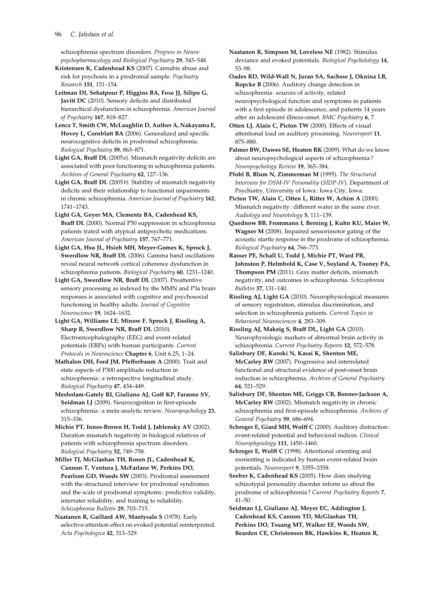schizophrenia spectrum disorders. Progress in Neuropsychopharmacology and Biological Psychiatry 29, 543–548.

Kristensen K, Cadenhead KS (2007). Cannabis abuse and risk for psychosis in a prodromal sample. Psychiatry Research 151, 151–154.

Leitman DI, Sehatpour P, Higgins BA, Foxe JJ, Silipo G, Javitt DC (2010). Sensory deficits and distributed hierarchical dysfunction in schizophrenia. American Journal of Psychiatry 167, 818–827.

- Lencz T, Smith CW, McLaughlin D, Auther A, Nakayama E, Hovey L, Cornblatt BA (2006). Generalized and specific neurocognitive deficits in prodromal schizophrenia. Biological Psychiatry 59, 863–871.
- Light GA, Braff DL (2005a). Mismatch negativity deficits are associated with poor functioning in schizophrenia patients. Archives of General Psychiatry 62, 127–136.
- Light GA, Braff DL  $(2005b)$ . Stability of mismatch negativity deficits and their relationship to functional impairments in chronic schizophrenia. American Journal of Psychiatry 162, 1741–1743.

Light GA, Geyer MA, Clementz BA, Cadenhead KS, Braff DL (2000). Normal P50 suppression in schizophrenia patients trated with atypical antipsychotic medications. American Journal of Psychiatry 157, 767–771.

Light GA, Hsu JL, Hsieh MH, Meyer-Gomes K, Sprock J, Swerdlow NR, Braff DL (2006). Gamma band oscillations reveal neural network cortical coherence dysfunction in schizophrenia patients. Biological Psychiatry 60, 1231–1240.

Light GA, Swerdlow NR, Braff DL (2007). Preattentive sensory processing as indexed by the MMN and P3a brain responses is associated with cognitive and psychosocial functioning in healthy adults. Journal of Cognitive Neuroscience 19, 1624–1632.

- Light GA, Williams LE, Minow F, Sprock J, Rissling A, Sharp R, Swerdlow NR, Braff DL (2010). Electroencephalography (EEG) and event-related potentials (ERPs) with human participants. Current Protocols in Neuroscience Chapter 6, Unit 6.25, 1–24.
- Mathalon DH, Ford JM, Pfefferbaum A (2000). Trait and state aspects of P300 amplitude reduction in schizophrenia : a retrospective longitudinal study. Biological Psychiatry 47, 434–449.
- Mesholam-Gately RI, Giuliano AJ, Goff KP, Faraone SV, Seidman LJ (2009). Neurocognition in first-episode schizophrenia : a meta-analytic review. Neuropsychology 23, 315–336.

Michie PT, Innes-Brown H, Todd J, Jablensky AV (2002). Duration mismatch negativity in biological relatives of patients with schizophrenia spectrum disorders. Biological Psychiatry 52, 749–758.

Miller TJ, McGlashan TH, Rosen JL, Cadenhead K, Cannon T, Ventura J, McFarlane W, Perkins DO, Pearlson GD, Woods SW (2003). Prodromal assessment with the structured interview for prodromal syndromes and the scale of prodromal symptoms : predictive validity, interrater reliability, and training to reliability. Schizophrenia Bulletin 29, 703–715.

Naatanen R, Gaillard AW, Mantysalo S (1978). Early selective-attention effect on evoked potential reinterpreted. Acta Psychologica 42, 313–329.

- Naatanen R, Simpson M, Loveless NE (1982). Stimulus deviance and evoked potentials. Biological Psycholology 14, 53–98.
- Oades RD, Wild-Wall N, Juran SA, Sachsse J, Oknina LB, Ropcke B (2006). Auditory change detection in schizophrenia : sources of activity, related neuropsychological function and symptoms in patients with a first episode in adolescence, and patients 14 years after an adolescent illness-onset. BMC Psychiatry 6, 7.
- Otten LJ, Alain C, Picton TW (2000). Effects of visual attentional load on auditory processing. Neuroreport 11, 875–880.
- Palmer BW, Dawes SE, Heaton RK (2009). What do we know about neuropsychological aspects of schizophrenia ? Neuropsychology Review 19, 365–384.
- Pfohl B, Blum N, Zimmerman M (1995). The Structured Interview for DSM-IV Personality (SIDP-IV). Department of Psychiatry, University of Iowa : Iowa City, Iowa.
- Picton TW, Alain C, Otten L, Ritter W, Achim A (2000). Mismatch negativity : different water in the same river. Audiology and Neurotology 5, 111–139.
- Quednow BB, Frommann I, Berning J, Kuhn KU, Maier W, Wagner M (2008). Impaired sensorimotor gating of the acoustic startle response in the prodrome of schizophrenia. Biological Psychiatry 64, 766–773.
- Rasser PE, Schall U, Todd J, Michie PT, Ward PB, Johnston P, Helmbold K, Case V, Soyland A, Tooney PA, Thompson PM (2011). Gray matter deficits, mismatch negativity, and outcomes in schizophrenia. Schizophrenia Bulletin 37, 131–140.
- Rissling AJ, Light GA (2010). Neurophysiological measures of sensory registration, stimulus discrimination, and selection in schizophrenia patients. Current Topics in Behavioral Neurosciences 4, 283–309.
- Rissling AJ, Makeig S, Braff DL, Light GA (2010). Neurophysiologic markers of abnormal brain activity in schizophrenia. Current Psychiatry Reports 12, 572–578.
- Salisbury DF, Kuroki N, Kasai K, Shenton ME, McCarley RW (2007). Progressive and interrelated functional and structural evidence of post-onset brain reduction in schizophrenia. Archives of General Psychiatry 64, 521–529.
- Salisbury DF, Shenton ME, Griggs CB, Bonner-Jackson A, McCarley RW (2002). Mismatch negativity in chronic schizophrenia and first-episode schizophrenia. Archives of General Psychiatry 59, 686–694.
- Schroger E, Giard MH, Wolff C (2000). Auditory distraction: event-related potential and behavioral indices. Clinical Neurophysiology 111, 1450–1460.

Schroger E, Wolff C (1998). Attentional orienting and reorienting is indicated by human event-related brain potentials. Neuroreport 9, 3355–3358.

- Seeber K, Cadenhead KS (2005). How does studying schizotypal personality disorder inform us about the prodrome of schizophrenia ? Current Psychiatry Reports 7, 41–50.
- Seidman LJ, Giuliano AJ, Meyer EC, Addington J, Cadenhead KS, Cannon TD, McGlashan TH, Perkins DO, Tsuang MT, Walker EF, Woods SW, Bearden CE, Christensen BK, Hawkins K, Heaton R,